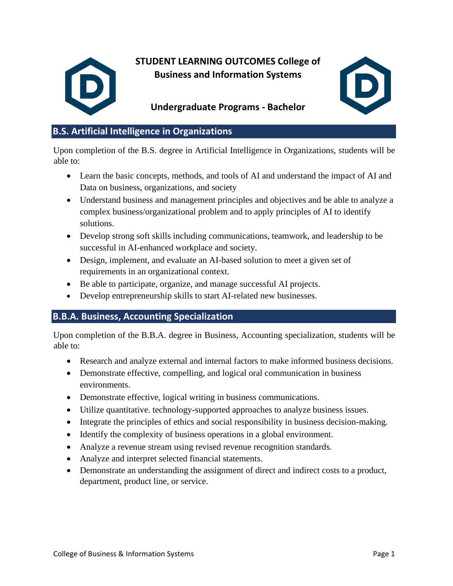

**STUDENT LEARNING OUTCOMES College of Business and Information Systems** 



# **Undergraduate Programs - Bachelor**

# **B.S. Artificial Intelligence in Organizations**

Upon completion of the B.S. degree in Artificial Intelligence in Organizations, students will be able to:

- Learn the basic concepts, methods, and tools of AI and understand the impact of AI and Data on business, organizations, and society
- Understand business and management principles and objectives and be able to analyze a complex business/organizational problem and to apply principles of AI to identify solutions.
- Develop strong soft skills including communications, teamwork, and leadership to be successful in AI-enhanced workplace and society.
- Design, implement, and evaluate an AI-based solution to meet a given set of requirements in an organizational context.
- Be able to participate, organize, and manage successful AI projects.
- Develop entrepreneurship skills to start AI-related new businesses.

## **B.B.A. Business, Accounting Specialization**

Upon completion of the B.B.A. degree in Business, Accounting specialization, students will be able to:

- Research and analyze external and internal factors to make informed business decisions.
- Demonstrate effective, compelling, and logical oral communication in business environments.
- Demonstrate effective, logical writing in business communications.
- Utilize quantitative. technology-supported approaches to analyze business issues.
- Integrate the principles of ethics and social responsibility in business decision-making.
- Identify the complexity of business operations in a global environment.
- Analyze a revenue stream using revised revenue recognition standards.
- Analyze and interpret selected financial statements.
- Demonstrate an understanding the assignment of direct and indirect costs to a product, department, product line, or service.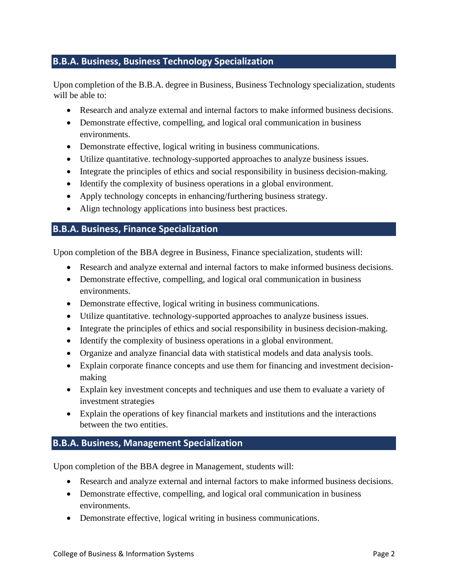# **B.B.A. Business, Business Technology Specialization**

Upon completion of the B.B.A. degree in Business, Business Technology specialization, students will be able to:

- Research and analyze external and internal factors to make informed business decisions.
- Demonstrate effective, compelling, and logical oral communication in business environments.
- Demonstrate effective, logical writing in business communications.
- Utilize quantitative. technology-supported approaches to analyze business issues.
- Integrate the principles of ethics and social responsibility in business decision-making.
- Identify the complexity of business operations in a global environment.
- Apply technology concepts in enhancing/furthering business strategy.
- Align technology applications into business best practices.

#### **B.B.A. Business, Finance Specialization**

Upon completion of the BBA degree in Business, Finance specialization, students will:

- Research and analyze external and internal factors to make informed business decisions.
- Demonstrate effective, compelling, and logical oral communication in business environments.
- Demonstrate effective, logical writing in business communications.
- Utilize quantitative. technology-supported approaches to analyze business issues.
- Integrate the principles of ethics and social responsibility in business decision-making.
- Identify the complexity of business operations in a global environment.
- Organize and analyze financial data with statistical models and data analysis tools.
- Explain corporate finance concepts and use them for financing and investment decisionmaking
- Explain key investment concepts and techniques and use them to evaluate a variety of investment strategies
- Explain the operations of key financial markets and institutions and the interactions between the two entities.

#### **B.B.A. Business, Management Specialization**

Upon completion of the BBA degree in Management, students will:

- Research and analyze external and internal factors to make informed business decisions.
- Demonstrate effective, compelling, and logical oral communication in business environments.
- Demonstrate effective, logical writing in business communications.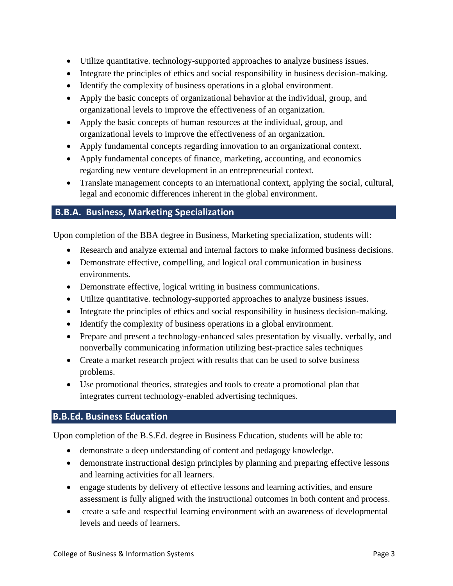- Utilize quantitative. technology-supported approaches to analyze business issues.
- Integrate the principles of ethics and social responsibility in business decision-making.
- Identify the complexity of business operations in a global environment.
- Apply the basic concepts of organizational behavior at the individual, group, and organizational levels to improve the effectiveness of an organization.
- Apply the basic concepts of human resources at the individual, group, and organizational levels to improve the effectiveness of an organization.
- Apply fundamental concepts regarding innovation to an organizational context.
- Apply fundamental concepts of finance, marketing, accounting, and economics regarding new venture development in an entrepreneurial context.
- Translate management concepts to an international context, applying the social, cultural, legal and economic differences inherent in the global environment.

# **B.B.A. Business, Marketing Specialization**

Upon completion of the BBA degree in Business, Marketing specialization, students will:

- Research and analyze external and internal factors to make informed business decisions.
- Demonstrate effective, compelling, and logical oral communication in business environments.
- Demonstrate effective, logical writing in business communications.
- Utilize quantitative. technology-supported approaches to analyze business issues.
- Integrate the principles of ethics and social responsibility in business decision-making.
- Identify the complexity of business operations in a global environment.
- Prepare and present a technology-enhanced sales presentation by visually, verbally, and nonverbally communicating information utilizing best-practice sales techniques
- Create a market research project with results that can be used to solve business problems.
- Use promotional theories, strategies and tools to create a promotional plan that integrates current technology-enabled advertising techniques.

## **B.B.Ed. Business Education**

Upon completion of the B.S.Ed. degree in Business Education, students will be able to:

- demonstrate a deep understanding of content and pedagogy knowledge.
- demonstrate instructional design principles by planning and preparing effective lessons and learning activities for all learners.
- engage students by delivery of effective lessons and learning activities, and ensure assessment is fully aligned with the instructional outcomes in both content and process.
- create a safe and respectful learning environment with an awareness of developmental levels and needs of learners.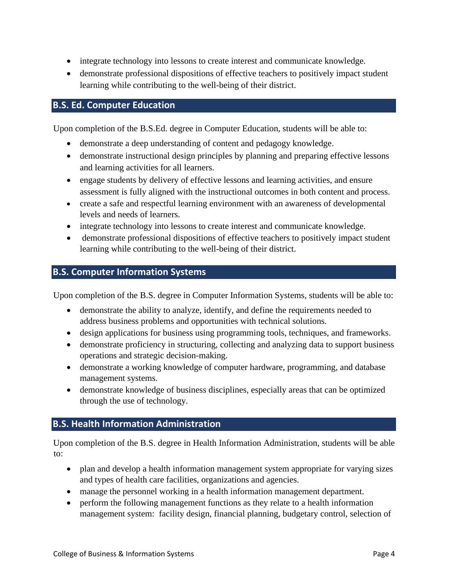- integrate technology into lessons to create interest and communicate knowledge.
- demonstrate professional dispositions of effective teachers to positively impact student learning while contributing to the well-being of their district.

### **B.S. Ed. Computer Education**

Upon completion of the B.S.Ed. degree in Computer Education, students will be able to:

- demonstrate a deep understanding of content and pedagogy knowledge.
- demonstrate instructional design principles by planning and preparing effective lessons and learning activities for all learners.
- engage students by delivery of effective lessons and learning activities, and ensure assessment is fully aligned with the instructional outcomes in both content and process.
- create a safe and respectful learning environment with an awareness of developmental levels and needs of learners.
- integrate technology into lessons to create interest and communicate knowledge.
- demonstrate professional dispositions of effective teachers to positively impact student learning while contributing to the well-being of their district.

#### **B.S. Computer Information Systems**

Upon completion of the B.S. degree in Computer Information Systems, students will be able to:

- demonstrate the ability to analyze, identify, and define the requirements needed to address business problems and opportunities with technical solutions.
- design applications for business using programming tools, techniques, and frameworks.
- demonstrate proficiency in structuring, collecting and analyzing data to support business operations and strategic decision-making.
- demonstrate a working knowledge of computer hardware, programming, and database management systems.
- demonstrate knowledge of business disciplines, especially areas that can be optimized through the use of technology.

## **B.S. Health Information Administration**

Upon completion of the B.S. degree in Health Information Administration, students will be able to:

- plan and develop a health information management system appropriate for varying sizes and types of health care facilities, organizations and agencies.
- manage the personnel working in a health information management department.
- perform the following management functions as they relate to a health information management system: facility design, financial planning, budgetary control, selection of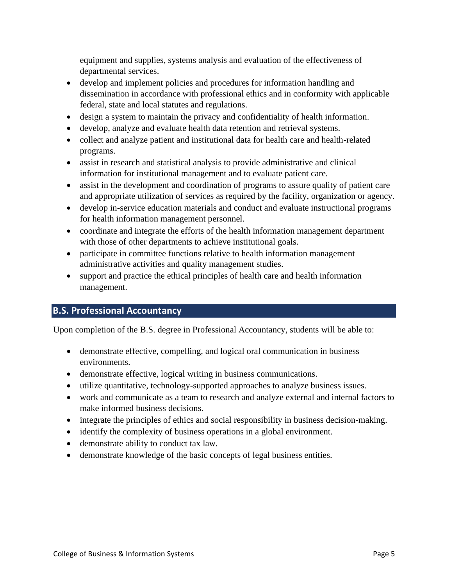equipment and supplies, systems analysis and evaluation of the effectiveness of departmental services.

- develop and implement policies and procedures for information handling and dissemination in accordance with professional ethics and in conformity with applicable federal, state and local statutes and regulations.
- design a system to maintain the privacy and confidentiality of health information.
- develop, analyze and evaluate health data retention and retrieval systems.
- collect and analyze patient and institutional data for health care and health-related programs.
- assist in research and statistical analysis to provide administrative and clinical information for institutional management and to evaluate patient care.
- assist in the development and coordination of programs to assure quality of patient care and appropriate utilization of services as required by the facility, organization or agency.
- develop in-service education materials and conduct and evaluate instructional programs for health information management personnel.
- coordinate and integrate the efforts of the health information management department with those of other departments to achieve institutional goals.
- participate in committee functions relative to health information management administrative activities and quality management studies.
- support and practice the ethical principles of health care and health information management.

#### **B.S. Professional Accountancy**

Upon completion of the B.S. degree in Professional Accountancy, students will be able to:

- demonstrate effective, compelling, and logical oral communication in business environments.
- demonstrate effective, logical writing in business communications.
- utilize quantitative, technology-supported approaches to analyze business issues.
- work and communicate as a team to research and analyze external and internal factors to make informed business decisions.
- integrate the principles of ethics and social responsibility in business decision-making.
- identify the complexity of business operations in a global environment.
- demonstrate ability to conduct tax law.
- demonstrate knowledge of the basic concepts of legal business entities.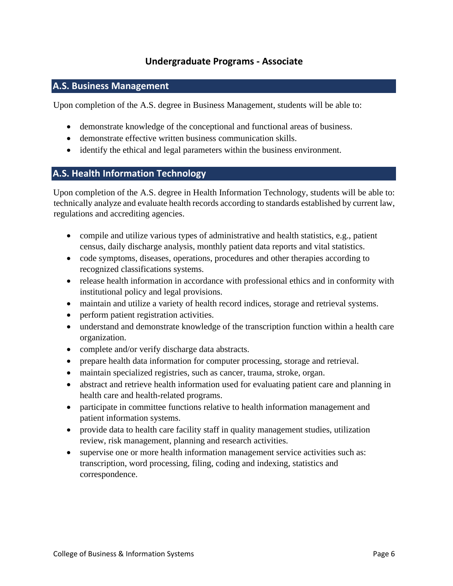## **Undergraduate Programs - Associate**

# **A.S. Business Management**

Upon completion of the A.S. degree in Business Management, students will be able to:

- demonstrate knowledge of the conceptional and functional areas of business.
- demonstrate effective written business communication skills.
- identify the ethical and legal parameters within the business environment.

#### **A.S. Health Information Technology**

Upon completion of the A.S. degree in Health Information Technology, students will be able to: technically analyze and evaluate health records according to standards established by current law, regulations and accrediting agencies.

- compile and utilize various types of administrative and health statistics, e.g., patient census, daily discharge analysis, monthly patient data reports and vital statistics.
- code symptoms, diseases, operations, procedures and other therapies according to recognized classifications systems.
- release health information in accordance with professional ethics and in conformity with institutional policy and legal provisions.
- maintain and utilize a variety of health record indices, storage and retrieval systems.
- perform patient registration activities.
- understand and demonstrate knowledge of the transcription function within a health care organization.
- complete and/or verify discharge data abstracts.
- prepare health data information for computer processing, storage and retrieval.
- maintain specialized registries, such as cancer, trauma, stroke, organ.
- abstract and retrieve health information used for evaluating patient care and planning in health care and health-related programs.
- participate in committee functions relative to health information management and patient information systems.
- provide data to health care facility staff in quality management studies, utilization review, risk management, planning and research activities.
- supervise one or more health information management service activities such as: transcription, word processing, filing, coding and indexing, statistics and correspondence.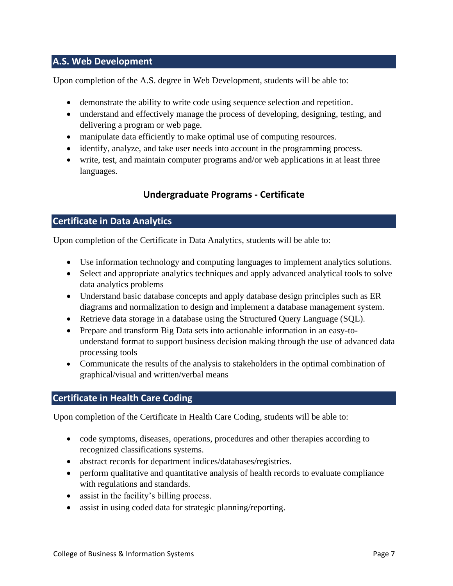## **A.S. Web Development**

Upon completion of the A.S. degree in Web Development, students will be able to:

- demonstrate the ability to write code using sequence selection and repetition.
- understand and effectively manage the process of developing, designing, testing, and delivering a program or web page.
- manipulate data efficiently to make optimal use of computing resources.
- identify, analyze, and take user needs into account in the programming process.
- write, test, and maintain computer programs and/or web applications in at least three languages.

# **Undergraduate Programs - Certificate**

#### **Certificate in Data Analytics**

Upon completion of the Certificate in Data Analytics, students will be able to:

- Use information technology and computing languages to implement analytics solutions.
- Select and appropriate analytics techniques and apply advanced analytical tools to solve data analytics problems
- Understand basic database concepts and apply database design principles such as ER diagrams and normalization to design and implement a database management system.
- Retrieve data storage in a database using the Structured Query Language (SQL).
- Prepare and transform Big Data sets into actionable information in an easy-tounderstand format to support business decision making through the use of advanced data processing tools
- Communicate the results of the analysis to stakeholders in the optimal combination of graphical/visual and written/verbal means

## **Certificate in Health Care Coding**

Upon completion of the Certificate in Health Care Coding, students will be able to:

- code symptoms, diseases, operations, procedures and other therapies according to recognized classifications systems.
- abstract records for department indices/databases/registries.
- perform qualitative and quantitative analysis of health records to evaluate compliance with regulations and standards.
- assist in the facility's billing process.
- assist in using coded data for strategic planning/reporting.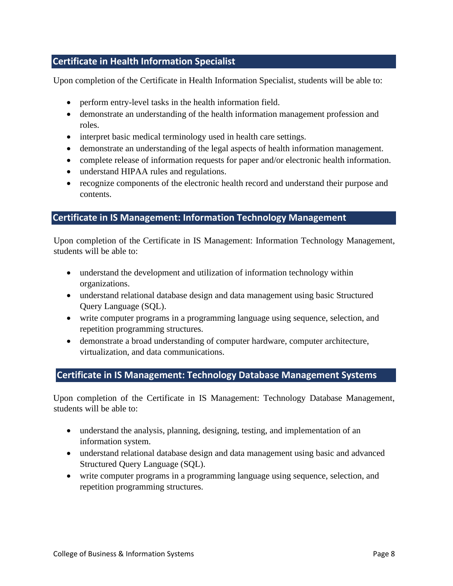## **Certificate in Health Information Specialist**

Upon completion of the Certificate in Health Information Specialist, students will be able to:

- perform entry-level tasks in the health information field.
- demonstrate an understanding of the health information management profession and roles.
- interpret basic medical terminology used in health care settings.
- demonstrate an understanding of the legal aspects of health information management.
- complete release of information requests for paper and/or electronic health information.
- understand HIPAA rules and regulations.
- recognize components of the electronic health record and understand their purpose and contents.

#### **Certificate in IS Management: Information Technology Management**

Upon completion of the Certificate in IS Management: Information Technology Management, students will be able to:

- understand the development and utilization of information technology within organizations.
- understand relational database design and data management using basic Structured Query Language (SQL).
- write computer programs in a programming language using sequence, selection, and repetition programming structures.
- demonstrate a broad understanding of computer hardware, computer architecture, virtualization, and data communications.

#### **Certificate in IS Management: Technology Database Management Systems**

Upon completion of the Certificate in IS Management: Technology Database Management, students will be able to:

- understand the analysis, planning, designing, testing, and implementation of an information system.
- understand relational database design and data management using basic and advanced Structured Query Language (SQL).
- write computer programs in a programming language using sequence, selection, and repetition programming structures.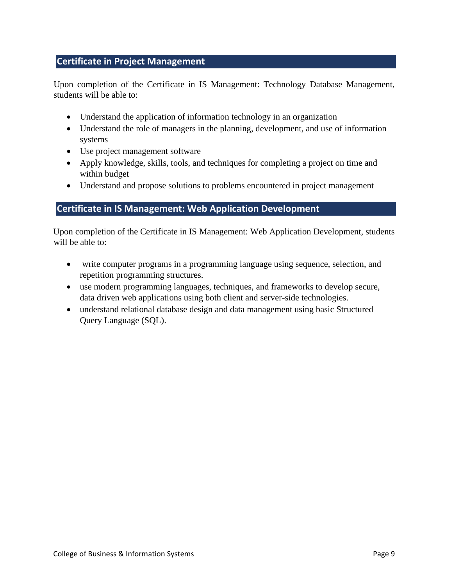# **Certificate in Project Management**

Upon completion of the Certificate in IS Management: Technology Database Management, students will be able to:

- Understand the application of information technology in an organization
- Understand the role of managers in the planning, development, and use of information systems
- Use project management software
- Apply knowledge, skills, tools, and techniques for completing a project on time and within budget
- Understand and propose solutions to problems encountered in project management

# **Certificate in IS Management: Web Application Development**

Upon completion of the Certificate in IS Management: Web Application Development, students will be able to:

- write computer programs in a programming language using sequence, selection, and repetition programming structures.
- use modern programming languages, techniques, and frameworks to develop secure, data driven web applications using both client and server-side technologies.
- understand relational database design and data management using basic Structured Query Language (SQL).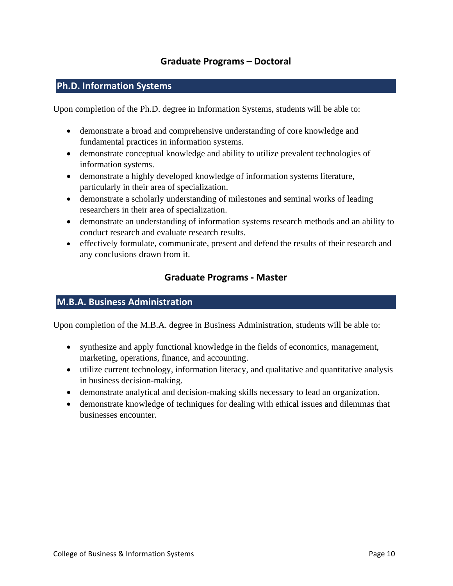## **Graduate Programs – Doctoral**

# **Ph.D. Information Systems**

Upon completion of the Ph.D. degree in Information Systems, students will be able to:

- demonstrate a broad and comprehensive understanding of core knowledge and fundamental practices in information systems.
- demonstrate conceptual knowledge and ability to utilize prevalent technologies of information systems.
- demonstrate a highly developed knowledge of information systems literature, particularly in their area of specialization.
- demonstrate a scholarly understanding of milestones and seminal works of leading researchers in their area of specialization.
- demonstrate an understanding of information systems research methods and an ability to conduct research and evaluate research results.
- effectively formulate, communicate, present and defend the results of their research and any conclusions drawn from it.

## **Graduate Programs - Master**

#### **M.B.A. Business Administration**

Upon completion of the M.B.A. degree in Business Administration, students will be able to:

- synthesize and apply functional knowledge in the fields of economics, management, marketing, operations, finance, and accounting.
- utilize current technology, information literacy, and qualitative and quantitative analysis in business decision-making.
- demonstrate analytical and decision-making skills necessary to lead an organization.
- demonstrate knowledge of techniques for dealing with ethical issues and dilemmas that businesses encounter.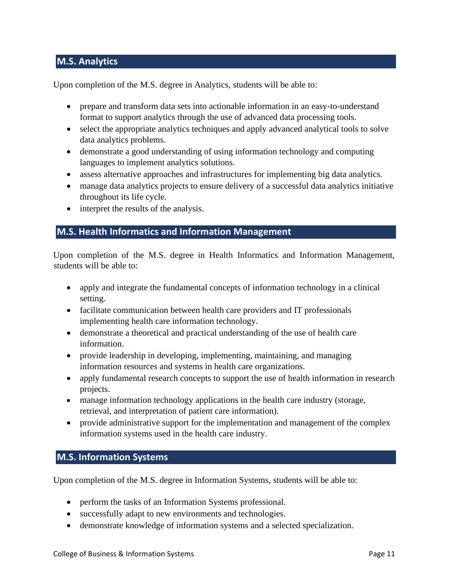# **M.S. Analytics**

Upon completion of the M.S. degree in Analytics, students will be able to:

- prepare and transform data sets into actionable information in an easy-to-understand format to support analytics through the use of advanced data processing tools.
- select the appropriate analytics techniques and apply advanced analytical tools to solve data analytics problems.
- demonstrate a good understanding of using information technology and computing languages to implement analytics solutions.
- assess alternative approaches and infrastructures for implementing big data analytics.
- manage data analytics projects to ensure delivery of a successful data analytics initiative throughout its life cycle.
- interpret the results of the analysis.

# **M.S. Health Informatics and Information Management**

Upon completion of the M.S. degree in Health Informatics and Information Management, students will be able to:

- apply and integrate the fundamental concepts of information technology in a clinical setting.
- facilitate communication between health care providers and IT professionals implementing health care information technology.
- demonstrate a theoretical and practical understanding of the use of health care information.
- provide leadership in developing, implementing, maintaining, and managing information resources and systems in health care organizations.
- apply fundamental research concepts to support the use of health information in research projects.
- manage information technology applications in the health care industry (storage, retrieval, and interpretation of patient care information).
- provide administrative support for the implementation and management of the complex information systems used in the health care industry.

## **M.S. Information Systems**

Upon completion of the M.S. degree in Information Systems, students will be able to:

- perform the tasks of an Information Systems professional.
- successfully adapt to new environments and technologies.
- demonstrate knowledge of information systems and a selected specialization.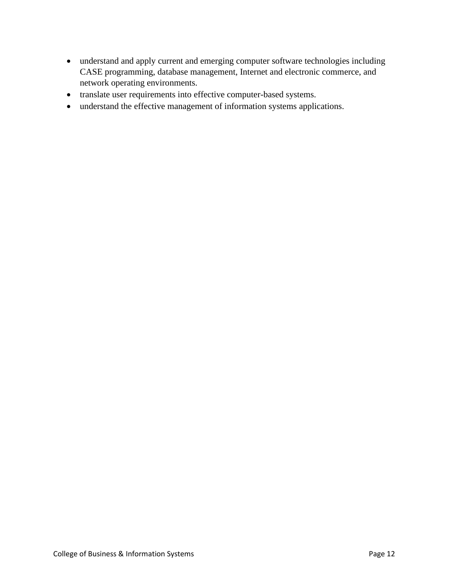- understand and apply current and emerging computer software technologies including CASE programming, database management, Internet and electronic commerce, and network operating environments.
- translate user requirements into effective computer-based systems.
- understand the effective management of information systems applications.